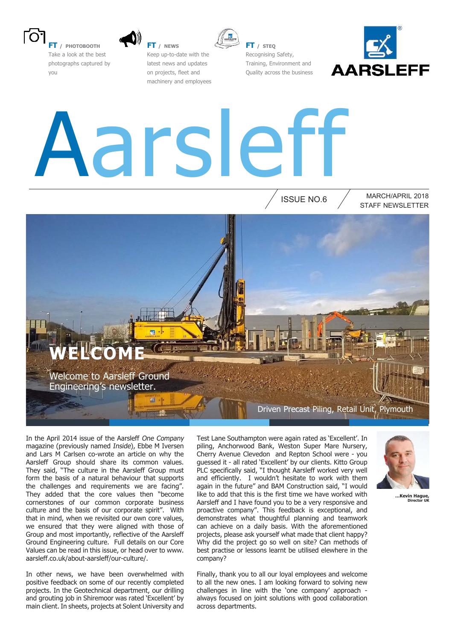

**FT / PHOTOBOOTH** Take a look at the best photographs captured by you



**FT / NEWS** Keep up-to-date with the latest news and updates on projects, fleet and machinery and employees



**FT / STEQ** Recognising Safety, Training, Environment and Quality across the business



## Aarsleff

ISSUE NO.6

#### STAFF NEWSLETTER MARCH/APRIL 2018



In the April 2014 issue of the Aarsleff One Company magazine (previously named Inside), Ebbe M Iversen and Lars M Carlsen co-wrote an article on why the Aarsleff Group should share its common values. They said, "The culture in the Aarsleff Group must form the basis of a natural behaviour that supports the challenges and requirements we are facing". They added that the core values then "become cornerstones of our common corporate business culture and the basis of our corporate spirit". With that in mind, when we revisited our own core values, we ensured that they were aligned with those of Group and most importantly, reflective of the Aarsleff Ground Engineering culture. Full details on our Core Values can be read in this issue, or head over to www. aarsleff.co.uk/about-aarsleff/our-culture/.

In other news, we have been overwhelmed with positive feedback on some of our recently completed projects. In the Geotechnical department, our drilling and grouting job in Shiremoor was rated 'Excellent' by main client. In sheets, projects at Solent University and

Test Lane Southampton were again rated as 'Excellent'. In piling, Anchorwood Bank, Weston Super Mare Nursery, Cherry Avenue Clevedon and Repton School were - you guessed it - all rated 'Excellent' by our clients. Kitto Group PLC specifically said, "I thought Aarsleff worked very well and efficiently. I wouldn't hesitate to work with them again in the future" and BAM Construction said, "I would like to add that this is the first time we have worked with Aarsleff and I have found you to be a very responsive and proactive company". This feedback is exceptional, and demonstrates what thoughtful planning and teamwork can achieve on a daily basis. With the aforementioned projects, please ask yourself what made that client happy? Why did the project go so well on site? Can methods of best practise or lessons learnt be utilised elewhere in the company?

Finally, thank you to all our loyal employees and welcome to all the new ones. I am looking forward to solving new challenges in line with the 'one company' approach always focused on joint solutions with good collaboration across departments.



**…Kevin Hague, Director UK**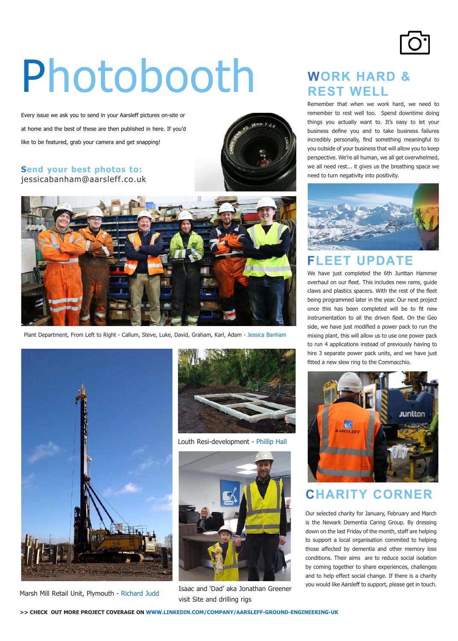

## Photobooth

Every issue we ask you to send in your Aarsleff pictures on-site or at home and the best of these are then published in here. If you'd like to be featured, grab your camera and get snapping!

#### **Send your best photos to:** jessicabanham@aarsleff.co.uk





Plant Department, From Left to Right - Callum, Steve, Luke, David, Graham, Karl, Adam - Jessica Banham





Louth Resi-development - Phillip Hall



Marsh Mill Retail Unit, Plymouth - Richard Judd Isaac and 'Dad' aka Jonathan Greener visit Site and drilling rigs

#### **WORK HARD & REST WELL**

Remember that when we work hard, we need to remember to rest well too. Spend downtime doing things you actually want to. It's easy to let your business define you and to take business failures incredibly personally, find something meaningful to you outside of your business that will allow you to keep perspective. We're all human, we all get overwhelmed, we all need rest... it gives us the breathing space we need to turn negativity into positivity.



#### **FLEET UPDATE**

We have just completed the 6th Junttan Hammer overhaul on our fleet. This includes new rams, guide claws and plastics spacers. With the rest of the fleet being programmed later in the year. Our next project once this has been completed will be to fit new instrumentation to all the driven fleet. On the Geo side, we have just modified a power pack to run the mixing plant, this will allow us to use one power pack to run 4 applications instead of previously having to hire 3 separate power pack units, and we have just fitted a new slew ring to the Commacchio.



#### **CHARITY CORNER**

Our selected charity for January, February and March is the Newark Dementia Caring Group. By dressing down on the last Friday of the month, staff are helping to support a local organisation commited to helping those affected by dementia and other memory loss conditions. Their aims are to reduce social isolation by coming together to share experiences, challenges and to help effect social change. If there is a charity you would like Aarsleff to support, please get in touch.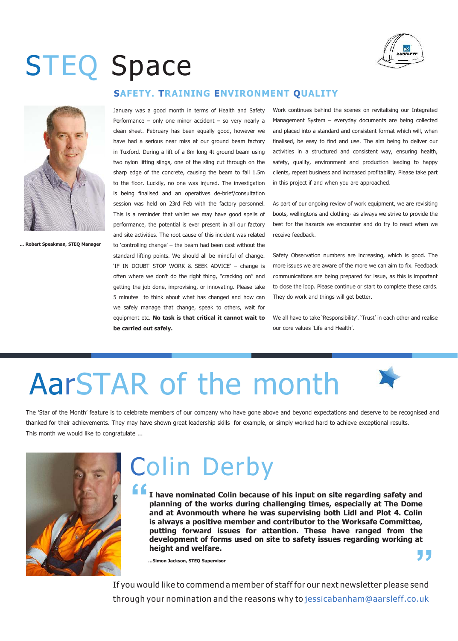

## STEQ Space



**... Robert Speakman, STEQ Manager**

#### **SAFETY. TRAINING ENVIRONMENT QUALITY**

January was a good month in terms of Health and Safety Performance – only one minor accident – so very nearly a clean sheet. February has been equally good, however we have had a serious near miss at our ground beam factory in Tuxford. During a lift of a 8m long 4t ground beam using two nylon lifting slings, one of the sling cut through on the sharp edge of the concrete, causing the beam to fall 1.5m to the floor. Luckily, no one was injured. The investigation is being finalised and an operatives de-brief/consultation session was held on 23rd Feb with the factory personnel. This is a reminder that whilst we may have good spells of performance, the potential is ever present in all our factory and site activities. The root cause of this incident was related to 'controlling change' – the beam had been cast without the standard lifting points. We should all be mindful of change. 'IF IN DOUBT STOP WORK & SEEK ADVICE' – change is often where we don't do the right thing, "cracking on" and getting the job done, improvising, or innovating. Please take 5 minutes to think about what has changed and how can we safely manage that change, speak to others, wait for equipment etc. **No task is that critical it cannot wait to be carried out safely.** 

Work continues behind the scenes on revitalising our Integrated Management System – everyday documents are being collected and placed into a standard and consistent format which will, when finalised, be easy to find and use. The aim being to deliver our activities in a structured and consistent way, ensuring health, safety, quality, environment and production leading to happy clients, repeat business and increased profitability. Please take part in this project if and when you are approached.

As part of our ongoing review of work equipment, we are revisiting boots, wellingtons and clothing- as always we strive to provide the best for the hazards we encounter and do try to react when we receive feedback.

Safety Observation numbers are increasing, which is good. The more issues we are aware of the more we can aim to fix. Feedback communications are being prepared for issue, as this is important to close the loop. Please continue or start to complete these cards. They do work and things will get better.

We all have to take 'Responsibility'. 'Trust' in each other and realise our core values 'Life and Health'.

## AarSTAR of the month

The 'Star of the Month' feature is to celebrate members of our company who have gone above and beyond expectations and deserve to be recognised and thanked for their achievements. They may have shown great leadership skills for example, or simply worked hard to achieve exceptional results. This month we would like to congratulate ...



## Colin Derby

**" " I have nominated Colin because of his input on site regarding safety and planning of the works during challenging times, especially at The Dome and at Avonmouth where he was supervising both Lidl and Plot 4. Colin is always a positive member and contributor to the Worksafe Committee, putting forward issues for attention. These have ranged from the development of forms used on site to safety issues regarding working at height and welfare.** 

**…Simon Jackson, STEQ Supervisor**

If you would like to commend a member of staff for our next newsletter please send through your nomination and the reasons why to jessicabanham@aarsleff.co.uk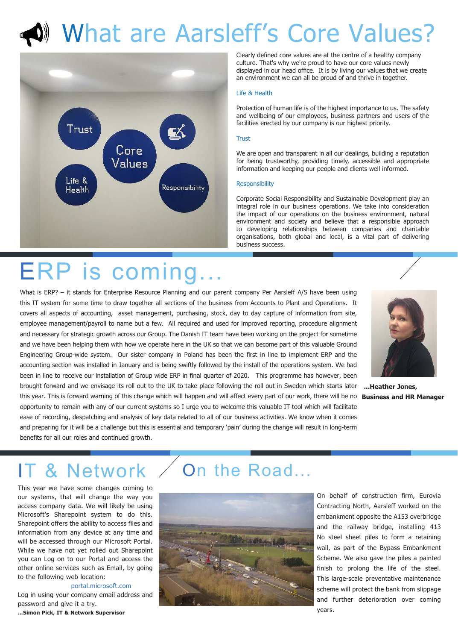## What are Aarsleff's Core Values?



Clearly defined core values are at the centre of a healthy company culture. That's why we're proud to have our core values newly displayed in our head ofice. It is by living our values that we create an environment we can all be proud of and thrive in together.

#### Life & Health

Protection of human life is of the highest importance to us. The safety and wellbeing of our employees, business partners and users of the facilities erected by our company is our highest priority.

#### Trust

We are open and transparent in all our dealings, building a reputation for being trustworthy, providing timely, accessible and appropriate information and keeping our people and clients well informed.

#### **Responsibility**

Corporate Social Responsibility and Sustainable Development play an integral role in our business operations. We take into consideration the impact of our operations on the business environment, natural environment and society and believe that a responsible approach to developing relationships between companies and charitable organisations, both global and local, is a vital part of delivering business success.

## ERP is coming.

brought forward and we envisage its roll out to the UK to take place following the roll out in Sweden which starts later **...Heather Jones,** this year. This is forward warning of this change which will happen and will affect every part of our work, there will be no **Business and HR Manager** What is ERP? - it stands for Enterprise Resource Planning and our parent company Per Aarsleff A/S have been using this IT system for some time to draw together all sections of the business from Accounts to Plant and Operations. It covers all aspects of accounting, asset management, purchasing, stock, day to day capture of information from site, employee management/payroll to name but a few. All required and used for improved reporting, procedure alignment and necessary for strategic growth across our Group. The Danish IT team have been working on the project for sometime and we have been helping them with how we operate here in the UK so that we can become part of this valuable Ground Engineering Group-wide system. Our sister company in Poland has been the first in line to implement ERP and the accounting section was installed in January and is being swiftly followed by the install of the operations system. We had been in line to receive our installation of Group wide ERP in final quarter of 2020. This programme has however, been opportunity to remain with any of our current systems so I urge you to welcome this valuable IT tool which will facilitate ease of recording, despatching and analysis of key data related to all of our business activities. We know when it comes and preparing for it will be a challenge but this is essential and temporary 'pain' during the change will result in long-term benefits for all our roles and continued growth.



## **8 Network**

This year we have some changes coming to our systems, that will change the way you access company data. We will likely be using Microsoft's Sharepoint system to do this. Sharepoint offers the ability to access files and information from any device at any time and will be accessed through our Microsoft Portal. While we have not yet rolled out Sharepoint you can Log on to our Portal and access the other online services such as Email, by going to the following web location:

#### portal.microsoft.com

Log in using your company email address and password and give it a try. **...Simon Pick, IT & Network Supervisor**

### On the Road...



On behalf of construction firm, Eurovia Contracting North, Aarsleff worked on the embankment opposite the A153 overbridge and the railway bridge, installing 413 No steel sheet piles to form a retaining wall, as part of the Bypass Embankment Scheme. We also gave the piles a painted finish to prolong the life of the steel. This large-scale preventative maintenance scheme will protect the bank from slippage and further deterioration over coming years.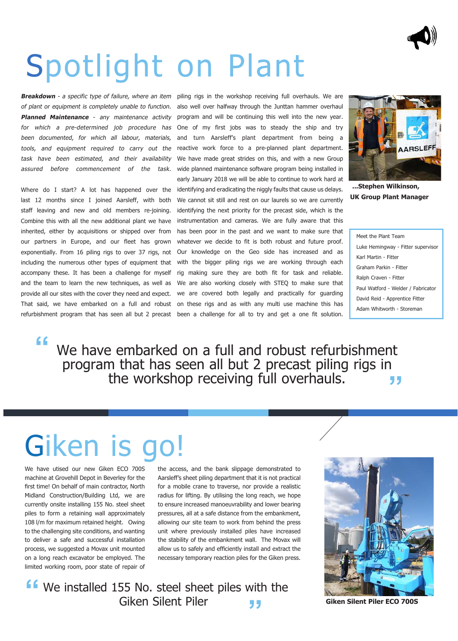

## Spotlight on Plant

**Breakdown** - a specific type of failure, where an item of plant or equipment is completely unable to function. **Planned Maintenance** - any maintenance activity for which a pre-determined job procedure has been documented, for which all labour, materials, tools, and equipment required to carry out the task have been estimated, and their availability assured before commencement of the task.

Where do I start? A lot has happened over the last 12 months since I joined Aarsleff, with both staff leaving and new and old members re-joining. Combine this with all the new additional plant we have inherited, either by acquisitions or shipped over from our partners in Europe, and our fleet has grown exponentially. From 16 piling rigs to over 37 rigs, not including the numerous other types of equipment that accompany these. It has been a challenge for myself and the team to learn the new techniques, as well as provide all our sites with the cover they need and expect. That said, we have embarked on a full and robust refurbishment program that has seen all but 2 precast

piling rigs in the workshop receiving full overhauls. We are also well over halfway through the Junttan hammer overhaul program and will be continuing this well into the new year. One of my first jobs was to steady the ship and try and turn Aarsleff's plant department from being a reactive work force to a pre-planned plant department. We have made great strides on this, and with a new Group wide planned maintenance software program being installed in early January 2018 we will be able to continue to work hard at identifying and eradicating the niggly faults that cause us delays. We cannot sit still and rest on our laurels so we are currently identifying the next priority for the precast side, which is the instrumentation and cameras. We are fully aware that this has been poor in the past and we want to make sure that whatever we decide to fit is both robust and future proof. Our knowledge on the Geo side has increased and as with the bigger piling rigs we are working through each rig making sure they are both fit for task and reliable. We are also working closely with STEQ to make sure that we are covered both legally and practically for guarding on these rigs and as with any multi use machine this has been a challenge for all to try and get a one fit solution.



**...Stephen Wilkinson, UK Group Plant Manager** 

Meet the Plant Team Luke Hemingway - Fitter supervisor Karl Martin - Fitter Graham Parkin - Fitter Ralph Craven - Fitter Paul Watford - Welder / Fabricator David Reid - Apprentice Fitter Adam Whitworth - Storeman

**" "** We have embarked on a full and robust refurbishment program that has seen all but 2 precast piling rigs in the workshop receiving full overhauls.

## Giken is go

We have utised our new Giken ECO 700S machine at Grovehill Depot in Beverley for the first time! On behalf of main contractor, North Midland Construction/Building Ltd, we are currently onsite installing 155 No. steel sheet piles to form a retaining wall approximately 108 l/m for maximum retained height. Owing to the challenging site conditions, and wanting to deliver a safe and successful installation process, we suggested a Movax unit mounted on a long reach excavator be employed. The limited working room, poor state of repair of

the access, and the bank slippage demonstrated to Aarsleff's sheet piling department that it is not practical for a mobile crane to traverse, nor provide a realistic radius for lifting. By utilising the long reach, we hope to ensure increased manoeuvrability and lower bearing pressures, all at a safe distance from the embankment, allowing our site team to work from behind the press unit where previously installed piles have increased the stability of the embankment wall. The Movax will allow us to safely and eficiently install and extract the necessary temporary reaction piles for the Giken press.

**f** We installed 155 No. steel sheet piles with the Giken Silent Piler Giken Silent Piler **"**



**Giken Silent Piler ECO 700S**